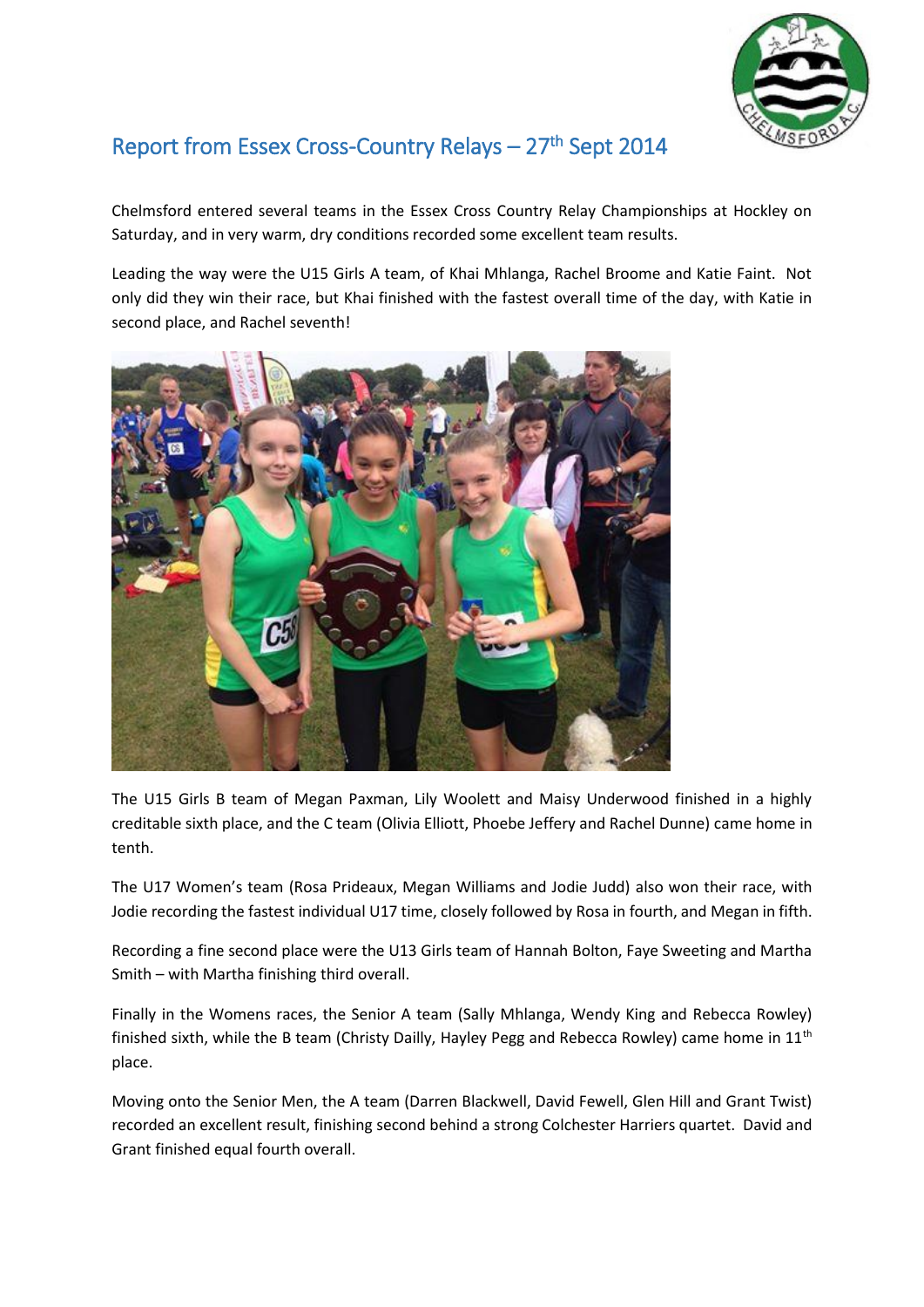

## Report from Essex Cross-Country Relays – 27<sup>th</sup> Sept 2014

Chelmsford entered several teams in the Essex Cross Country Relay Championships at Hockley on Saturday, and in very warm, dry conditions recorded some excellent team results.

Leading the way were the U15 Girls A team, of Khai Mhlanga, Rachel Broome and Katie Faint. Not only did they win their race, but Khai finished with the fastest overall time of the day, with Katie in second place, and Rachel seventh!



The U15 Girls B team of Megan Paxman, Lily Woolett and Maisy Underwood finished in a highly creditable sixth place, and the C team (Olivia Elliott, Phoebe Jeffery and Rachel Dunne) came home in tenth.

The U17 Women's team (Rosa Prideaux, Megan Williams and Jodie Judd) also won their race, with Jodie recording the fastest individual U17 time, closely followed by Rosa in fourth, and Megan in fifth.

Recording a fine second place were the U13 Girls team of Hannah Bolton, Faye Sweeting and Martha Smith – with Martha finishing third overall.

Finally in the Womens races, the Senior A team (Sally Mhlanga, Wendy King and Rebecca Rowley) finished sixth, while the B team (Christy Dailly, Hayley Pegg and Rebecca Rowley) came home in 11<sup>th</sup> place.

Moving onto the Senior Men, the A team (Darren Blackwell, David Fewell, Glen Hill and Grant Twist) recorded an excellent result, finishing second behind a strong Colchester Harriers quartet. David and Grant finished equal fourth overall.